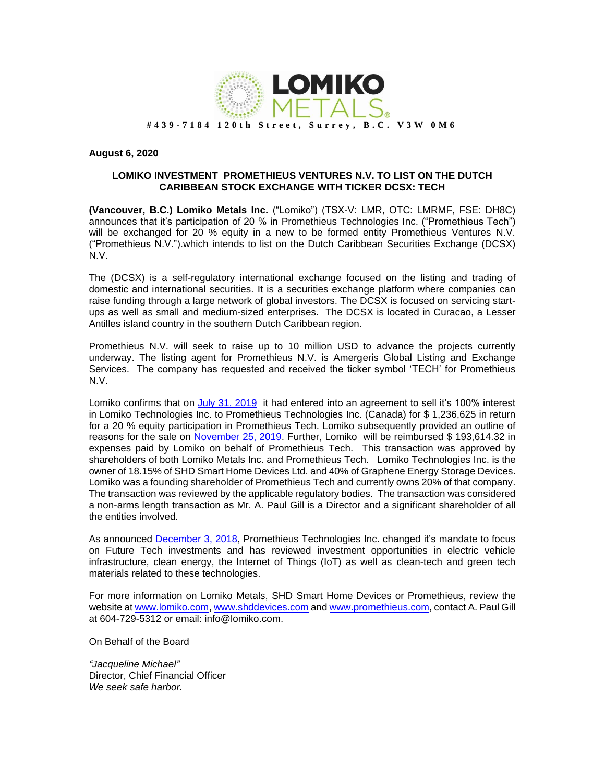

## **August 6, 2020**

## **LOMIKO INVESTMENT PROMETHIEUS VENTURES N.V. TO LIST ON THE DUTCH CARIBBEAN STOCK EXCHANGE WITH TICKER DCSX: TECH**

**(Vancouver, B.C.) Lomiko Metals Inc.** ("Lomiko") (TSX-V: LMR, OTC: LMRMF, FSE: DH8C) announces that it's participation of 20 % in Promethieus Technologies Inc. ("Promethieus Tech") will be exchanged for 20 % equity in a new to be formed entity Promethieus Ventures N.V. ("Promethieus N.V.").which intends to list on the Dutch Caribbean Securities Exchange (DCSX) N.V.

The (DCSX) is a self-regulatory international exchange focused on the listing and trading of domestic and international securities. It is a securities exchange platform where companies can raise funding through a large network of global investors. The DCSX is focused on servicing startups as well as small and medium-sized enterprises. The DCSX is located in Curacao, a Lesser Antilles island country in the southern Dutch Caribbean region.

Promethieus N.V. will seek to raise up to 10 million USD to advance the projects currently underway. The listing agent for Promethieus N.V. is Amergeris Global Listing and Exchange Services. The company has requested and received the ticker symbol 'TECH' for Promethieus N.V.

Lomiko confirms that on [July 31, 2019](https://www.lomiko.com/uncategorized/lomiko-metals-transfers-100-of-subsidiary-lomiko-technologies-inc-shares-to-promethieus-technologies-ltd-canada-for-1236625-cdn/) it had entered into an agreement to sell it's 100% interest in Lomiko Technologies Inc. to Promethieus Technologies Inc. (Canada) for \$ 1,236,625 in return for a 20 % equity participation in Promethieus Tech. Lomiko subsequently provided an outline of reasons for the sale on [November 25, 2019.](https://www.lomiko.com/wp-content/uploads/2019/11/LMR-NR-SALE-OF-LOMIKO-TECHNOLOGIES-INC.-11-25-2019-final.pdf) Further, Lomiko will be reimbursed \$ 193,614.32 in expenses paid by Lomiko on behalf of Promethieus Tech. This transaction was approved by shareholders of both Lomiko Metals Inc. and Promethieus Tech. Lomiko Technologies Inc. is the owner of 18.15% of SHD Smart Home Devices Ltd. and 40% of Graphene Energy Storage Devices. Lomiko was a founding shareholder of Promethieus Tech and currently owns 20% of that company. The transaction was reviewed by the applicable regulatory bodies. The transaction was considered a non-arms length transaction as Mr. A. Paul Gill is a Director and a significant shareholder of all the entities involved.

As announced [December 3, 2018,](https://www.lomiko.com/public/files/news/LMR%20NR%20Prometius%20News%20%20December%203%202018.pdf) Promethieus Technologies Inc. changed it's mandate to focus on Future Tech investments and has reviewed investment opportunities in electric vehicle infrastructure, clean energy, the Internet of Things (IoT) as well as clean-tech and green tech materials related to these technologies.

For more information on Lomiko Metals, SHD Smart Home Devices or Promethieus, review the website a[t www.lomiko.com,](http://www.lomiko.com/) [www.shddevices.com](http://www.shddevices.com/) an[d www.promethieus.com,](http://www.promethieus.com/) contact A. Paul Gill at 604-729-5312 or email: info@lomiko.com.

On Behalf of the Board

*"Jacqueline Michael"* Director, Chief Financial Officer *We seek safe harbor.*